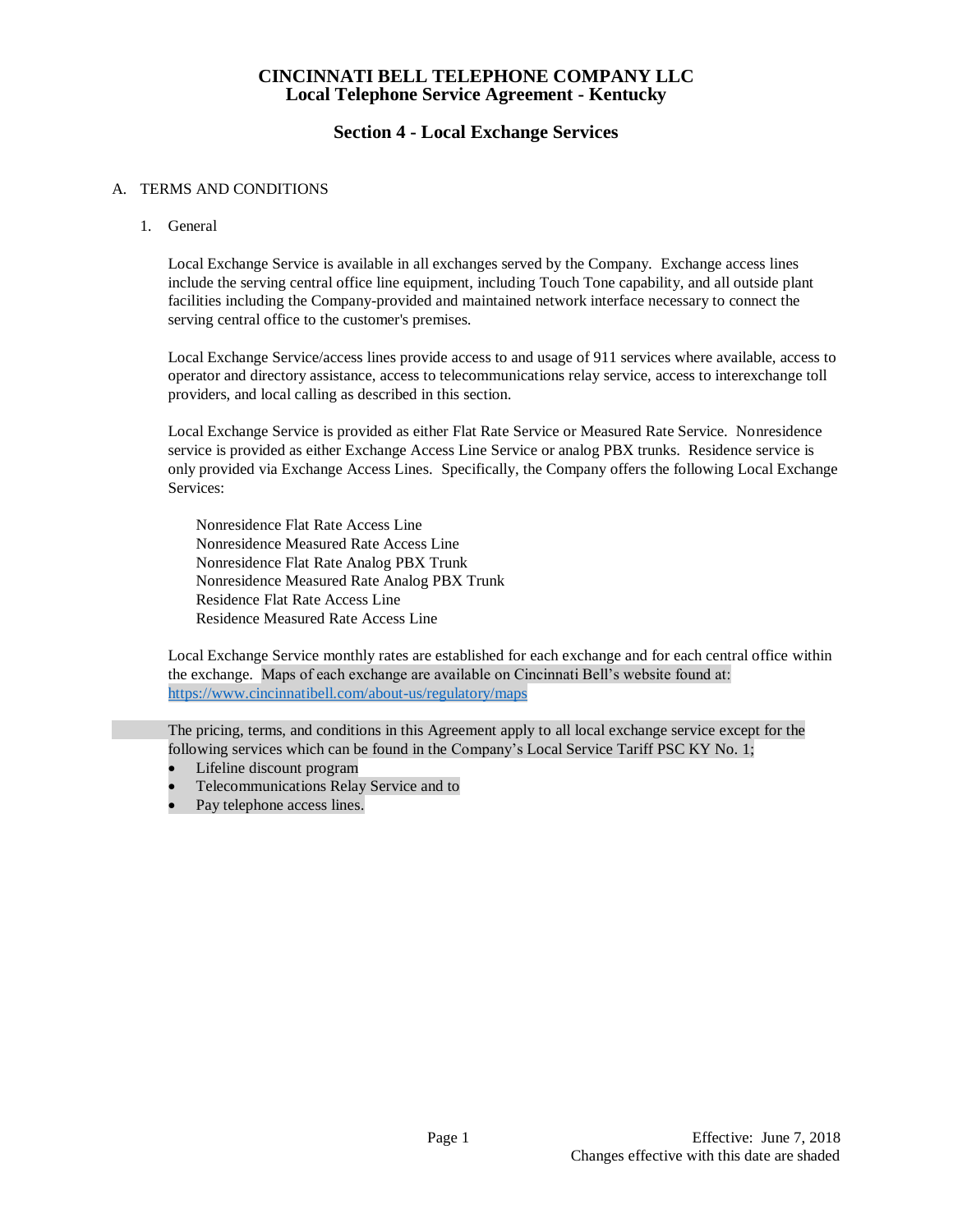## **Section 4 - Local Exchange Services**

## A. TERMS AND CONDITIONS

1. General

Local Exchange Service is available in all exchanges served by the Company. Exchange access lines include the serving central office line equipment, including Touch Tone capability, and all outside plant facilities including the Company-provided and maintained network interface necessary to connect the serving central office to the customer's premises.

Local Exchange Service/access lines provide access to and usage of 911 services where available, access to operator and directory assistance, access to telecommunications relay service, access to interexchange toll providers, and local calling as described in this section.

Local Exchange Service is provided as either Flat Rate Service or Measured Rate Service. Nonresidence service is provided as either Exchange Access Line Service or analog PBX trunks. Residence service is only provided via Exchange Access Lines. Specifically, the Company offers the following Local Exchange Services:

Nonresidence Flat Rate Access Line Nonresidence Measured Rate Access Line Nonresidence Flat Rate Analog PBX Trunk Nonresidence Measured Rate Analog PBX Trunk Residence Flat Rate Access Line Residence Measured Rate Access Line

 Local Exchange Service monthly rates are established for each exchange and for each central office within the exchange. Maps of each exchange are available on Cincinnati Bell's website found at: <https://www.cincinnatibell.com/about-us/regulatory/maps>

The pricing, terms, and conditions in this Agreement apply to all local exchange service except for the following services which can be found in the Company's Local Service Tariff PSC KY No. 1;

- Lifeline discount program
- Telecommunications Relay Service and to
- Pay telephone access lines.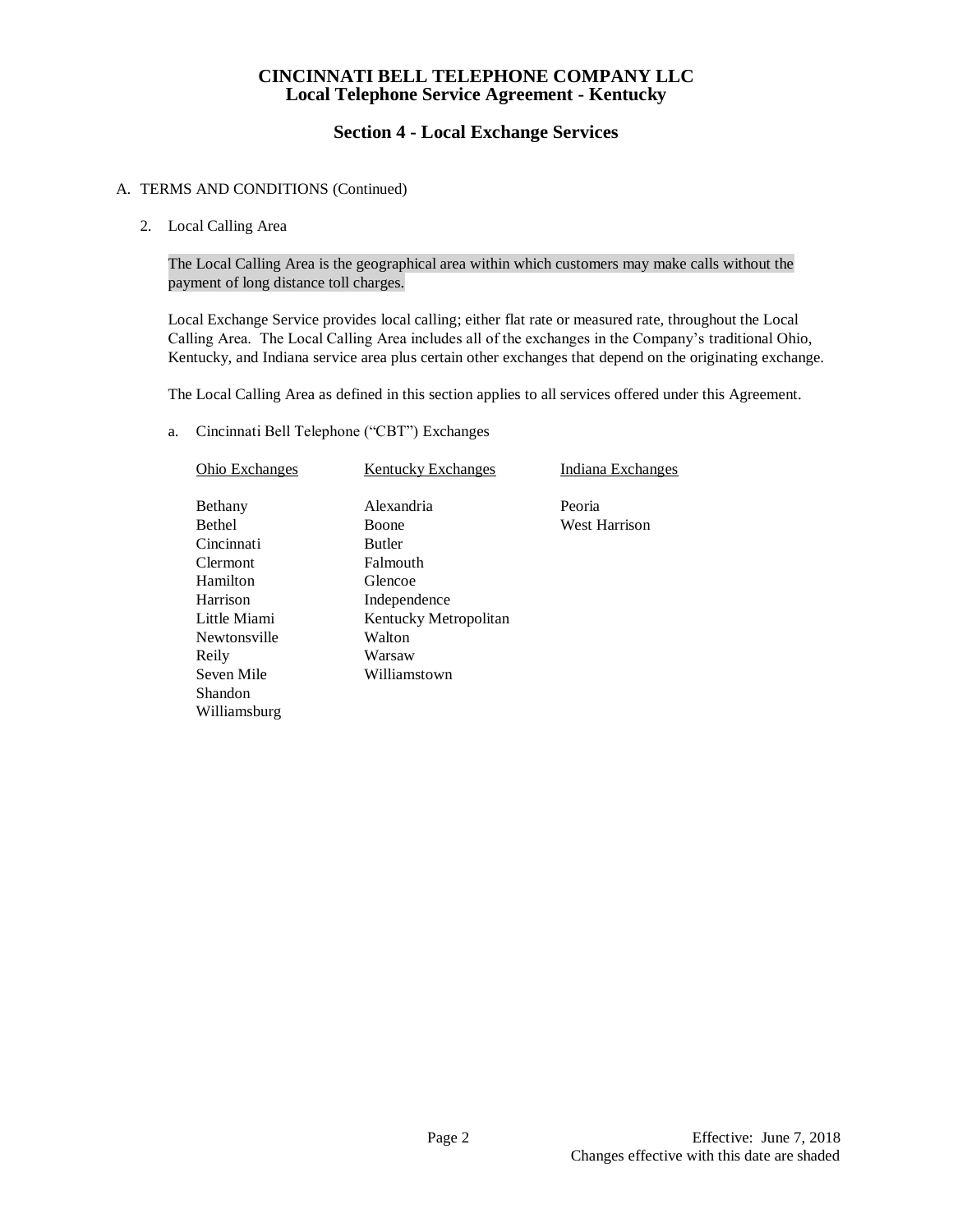# **Section 4 - Local Exchange Services**

## A. TERMS AND CONDITIONS (Continued)

2. Local Calling Area

The Local Calling Area is the geographical area within which customers may make calls without the payment of long distance toll charges.

Local Exchange Service provides local calling; either flat rate or measured rate, throughout the Local Calling Area. The Local Calling Area includes all of the exchanges in the Company's traditional Ohio, Kentucky, and Indiana service area plus certain other exchanges that depend on the originating exchange.

The Local Calling Area as defined in this section applies to all services offered under this Agreement.

a. Cincinnati Bell Telephone ("CBT") Exchanges

| <b>Ohio Exchanges</b> | <b>Kentucky Exchanges</b> | Indiana Exchanges    |
|-----------------------|---------------------------|----------------------|
| Bethany               | Alexandria                | Peoria               |
| <b>Bethel</b>         | <b>Boone</b>              | <b>West Harrison</b> |
| Cincinnati            | <b>Butler</b>             |                      |
| <b>Clermont</b>       | Falmouth                  |                      |
| Hamilton              | Glencoe                   |                      |
| Harrison              | Independence              |                      |
| Little Miami          | Kentucky Metropolitan     |                      |
| Newtonsville          | Walton                    |                      |
| Reily                 | Warsaw                    |                      |
| Seven Mile            | Williamstown              |                      |
| Shandon               |                           |                      |
| Williamsburg          |                           |                      |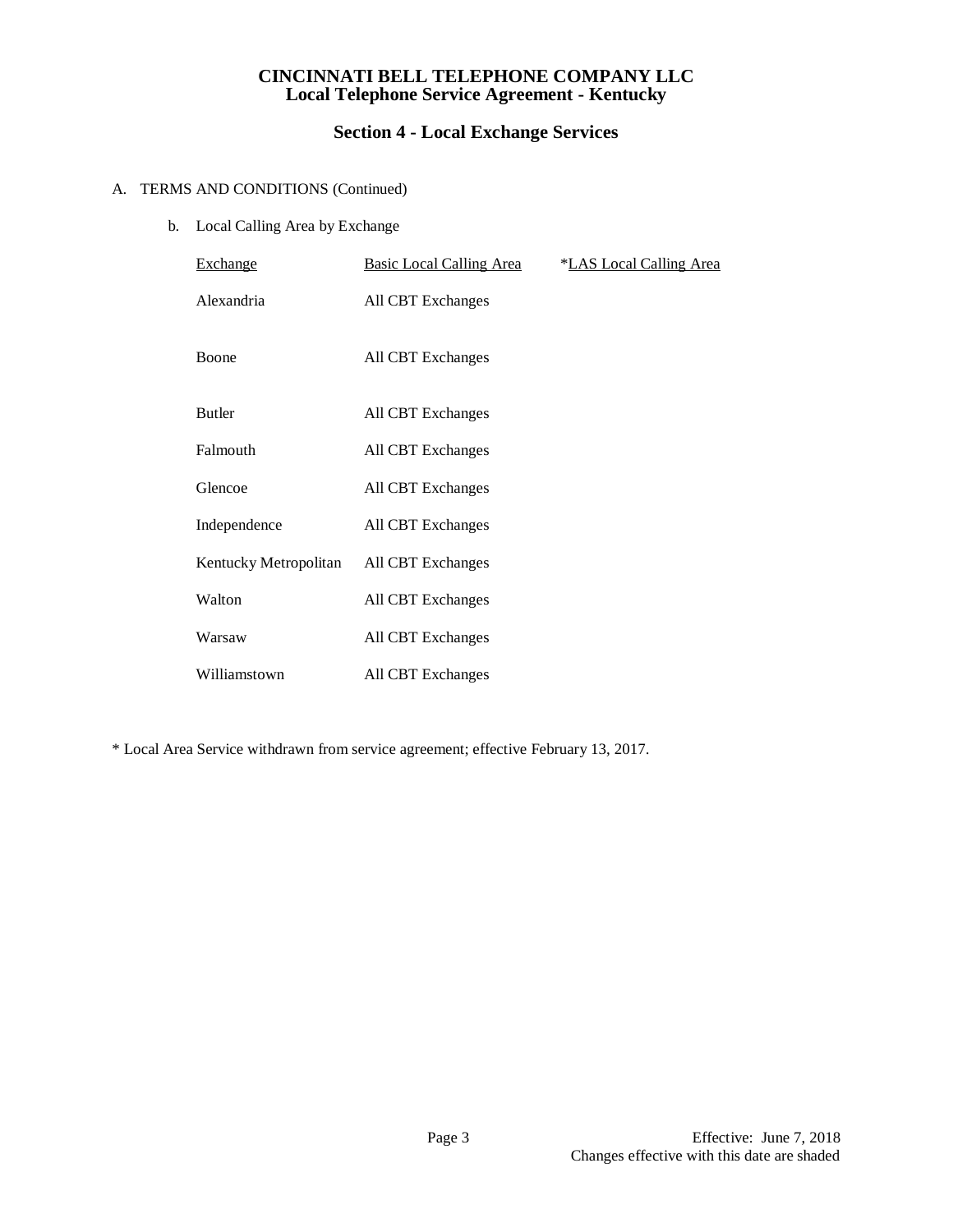# **Section 4 - Local Exchange Services**

## A. TERMS AND CONDITIONS (Continued)

b. Local Calling Area by Exchange

| Exchange              | <b>Basic Local Calling Area</b> | <i><b>*LAS Local Calling Area</b></i> |
|-----------------------|---------------------------------|---------------------------------------|
| Alexandria            | All CBT Exchanges               |                                       |
| <b>Boone</b>          | All CBT Exchanges               |                                       |
| <b>Butler</b>         | All CBT Exchanges               |                                       |
| Falmouth              | All CBT Exchanges               |                                       |
| Glencoe               | All CBT Exchanges               |                                       |
| Independence          | All CBT Exchanges               |                                       |
| Kentucky Metropolitan | All CBT Exchanges               |                                       |
| Walton                | All CBT Exchanges               |                                       |
| Warsaw                | All CBT Exchanges               |                                       |
| Williamstown          | All CBT Exchanges               |                                       |

\* Local Area Service withdrawn from service agreement; effective February 13, 2017.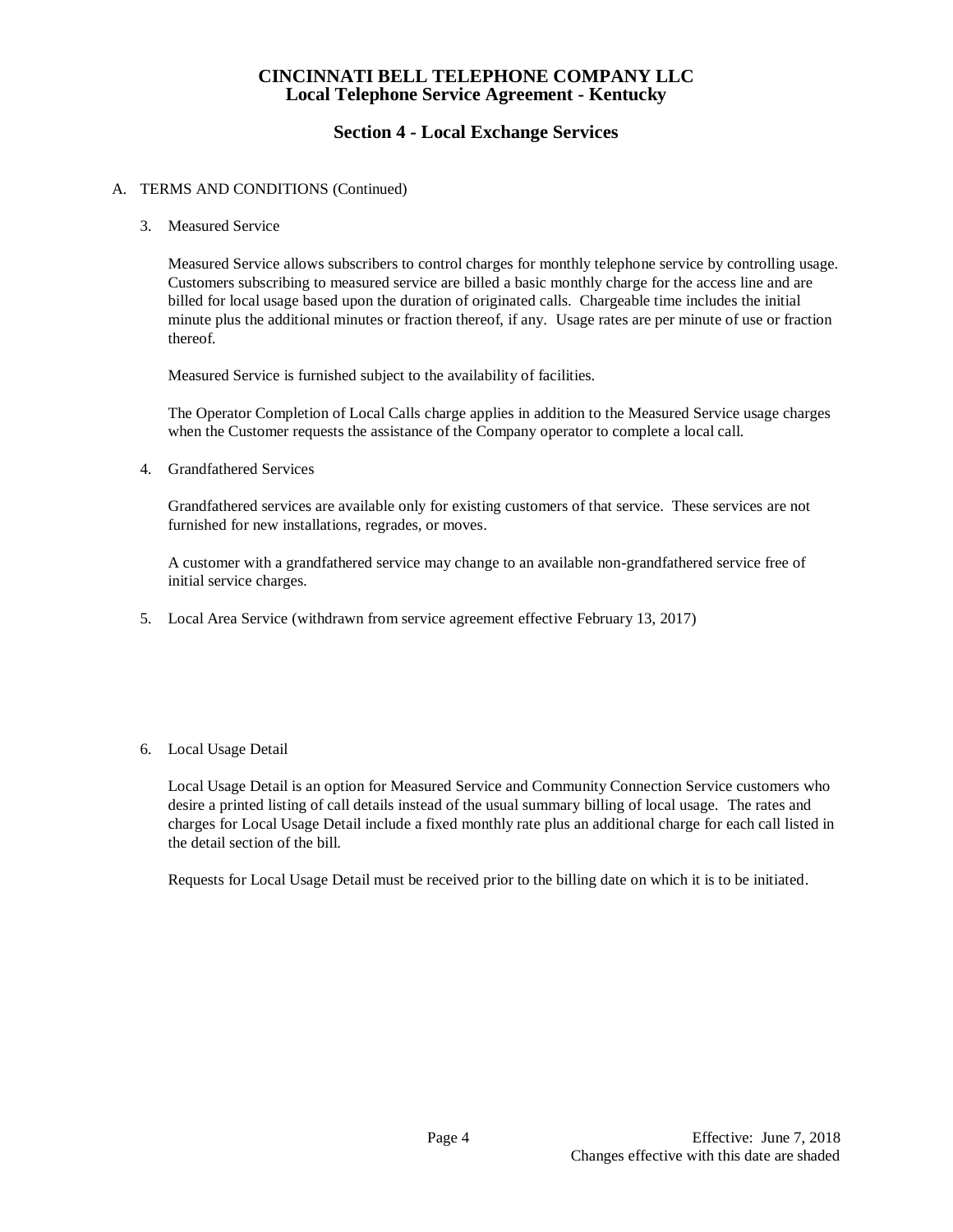# **Section 4 - Local Exchange Services**

## A. TERMS AND CONDITIONS (Continued)

3. Measured Service

Measured Service allows subscribers to control charges for monthly telephone service by controlling usage. Customers subscribing to measured service are billed a basic monthly charge for the access line and are billed for local usage based upon the duration of originated calls. Chargeable time includes the initial minute plus the additional minutes or fraction thereof, if any. Usage rates are per minute of use or fraction thereof.

Measured Service is furnished subject to the availability of facilities.

The Operator Completion of Local Calls charge applies in addition to the Measured Service usage charges when the Customer requests the assistance of the Company operator to complete a local call.

4. Grandfathered Services

Grandfathered services are available only for existing customers of that service. These services are not furnished for new installations, regrades, or moves.

A customer with a grandfathered service may change to an available non-grandfathered service free of initial service charges.

5. Local Area Service (withdrawn from service agreement effective February 13, 2017)

#### 6. Local Usage Detail

Local Usage Detail is an option for Measured Service and Community Connection Service customers who desire a printed listing of call details instead of the usual summary billing of local usage. The rates and charges for Local Usage Detail include a fixed monthly rate plus an additional charge for each call listed in the detail section of the bill.

Requests for Local Usage Detail must be received prior to the billing date on which it is to be initiated.